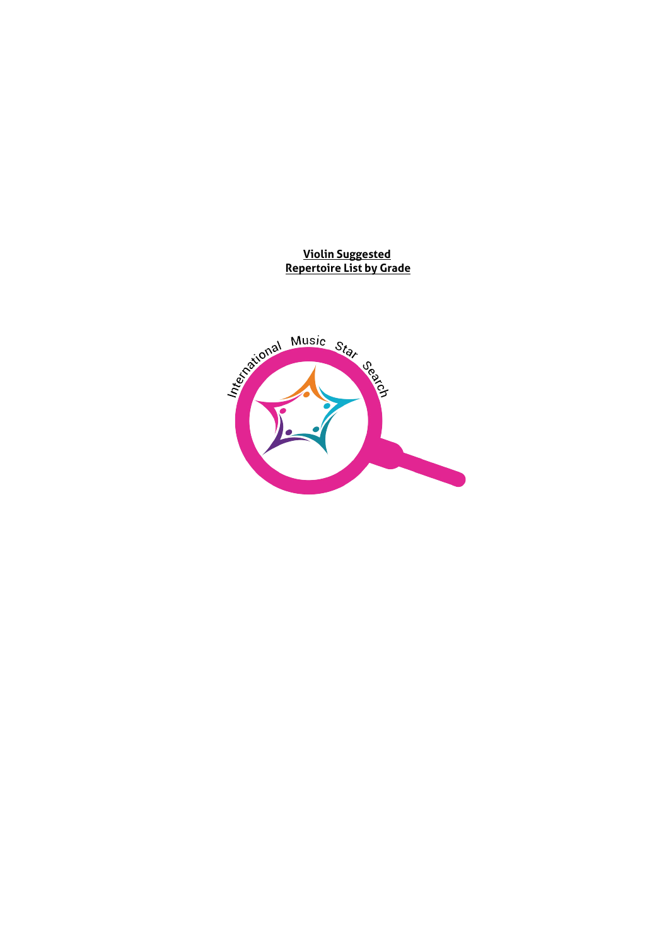**Violin Suggested Repertoire List by Grade**

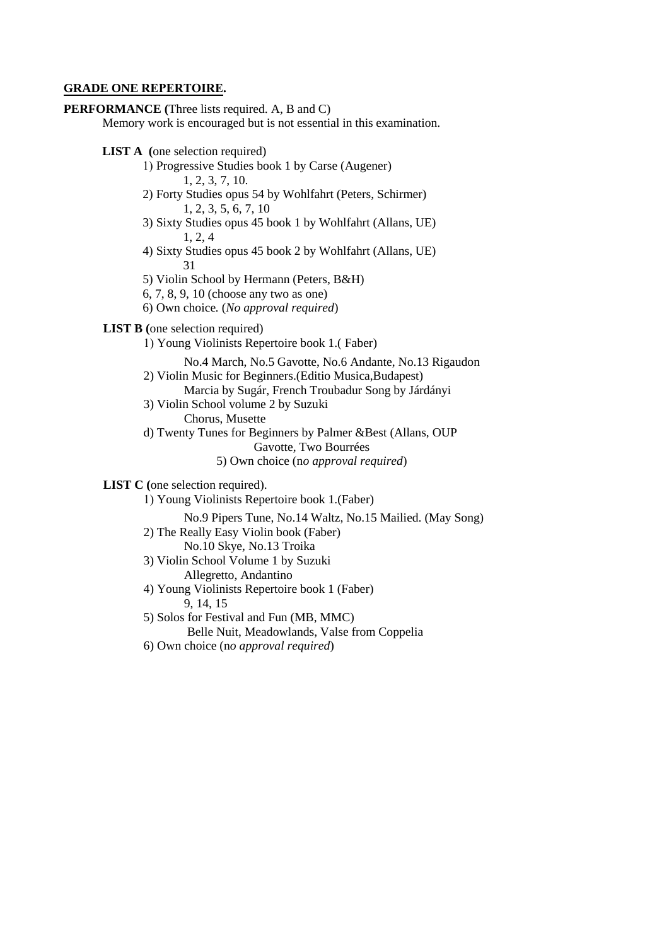#### **GRADE ONE REPERTOIRE.**

**PERFORMANCE (**Three lists required. A, B and C) Memory work is encouraged but is not essential in this examination.

**LIST A (**one selection required)

- 1) Progressive Studies book 1 by Carse (Augener) 1, 2, 3, 7, 10.
- 2) Forty Studies opus 54 by Wohlfahrt (Peters, Schirmer) 1, 2, 3, 5, 6, 7, 10
- 3) Sixty Studies opus 45 book 1 by Wohlfahrt (Allans, UE) 1, 2, 4
- 4) Sixty Studies opus 45 book 2 by Wohlfahrt (Allans, UE) 31
- 5) Violin School by Hermann (Peters, B&H)
- 6, 7, 8, 9, 10 (choose any two as one)
- 6) Own choice*.* (*No approval required*)

**LIST B (**one selection required)

1) Young Violinists Repertoire book 1.( Faber)

No.4 March, No.5 Gavotte, No.6 Andante, No.13 Rigaudon

- 2) Violin Music for Beginners.(Editio Musica,Budapest) Marcia by Sugár, French Troubadur Song by Járdányi
- 3) Violin School volume 2 by Suzuki Chorus, Musette
- d) Twenty Tunes for Beginners by Palmer &Best (Allans, OUP
	- Gavotte, Two Bourrées
	- 5) Own choice (n*o approval required*)

**LIST C (**one selection required).

1) Young Violinists Repertoire book 1.(Faber)

No.9 Pipers Tune, No.14 Waltz, No.15 Mailied. (May Song)

- 2) The Really Easy Violin book (Faber)
	- No.10 Skye, No.13 Troika
- 3) Violin School Volume 1 by Suzuki Allegretto, Andantino
- 4) Young Violinists Repertoire book 1 (Faber) 9, 14, 15
- 5) Solos for Festival and Fun (MB, MMC)
	- Belle Nuit, Meadowlands, Valse from Coppelia
- 6) Own choice (n*o approval required*)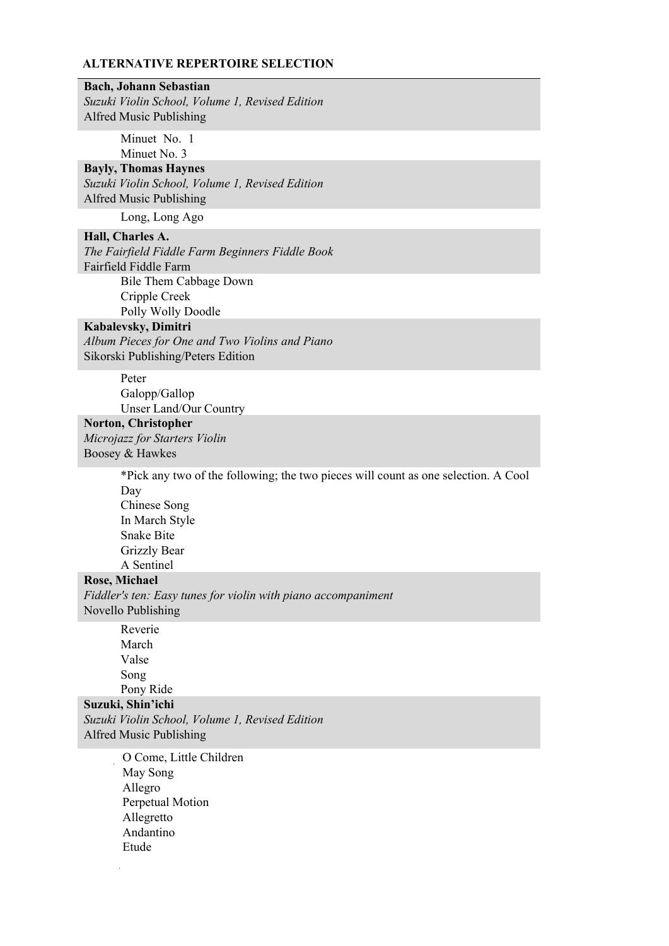## **Bach, Johann Sebastian**

*Suzuki Violin School, Volume 1, Revised Edition* Alfred Music Publishing

> Minuet No. 1 Minuet No. 3

#### **Bayly, Thomas Haynes**

*Suzuki Violin School, Volume 1, Revised Edition* Alfred Music Publishing

Long, Long Ago

## **Hall, Charles A.**  *The Fairfield Fiddle Farm Beginners Fiddle Book*  Fairfield Fiddle Farm Bile Them Cabbage Down Cripple Creek

Polly Wolly Doodle

#### **Kabalevsky, Dimitri**

*Album Pieces for One and Two Violins and Piano*  Sikorski Publishing/Peters Edition

> Peter Galopp/Gallop Unser Land/Our Country

## **Norton, Christopher**

*Microjazz for Starters Violin* Boosey & Hawkes

> \*Pick any two of the following; the two pieces will count as one selection. A Cool Day Chinese Song In March Style Snake Bite Grizzly Bear A Sentinel

### **Rose, Michael**

*Fiddler's ten: Easy tunes for violin with piano accompaniment* Novello Publishing

> Reverie March Valse Song Pony Ride

### **Suzuki, Shin'ichi**

*Suzuki Violin School, Volume 1, Revised Edition* Alfred Music Publishing

> O Come, Little Children May Song Allegro Perpetual Motion Allegretto Andantino Etude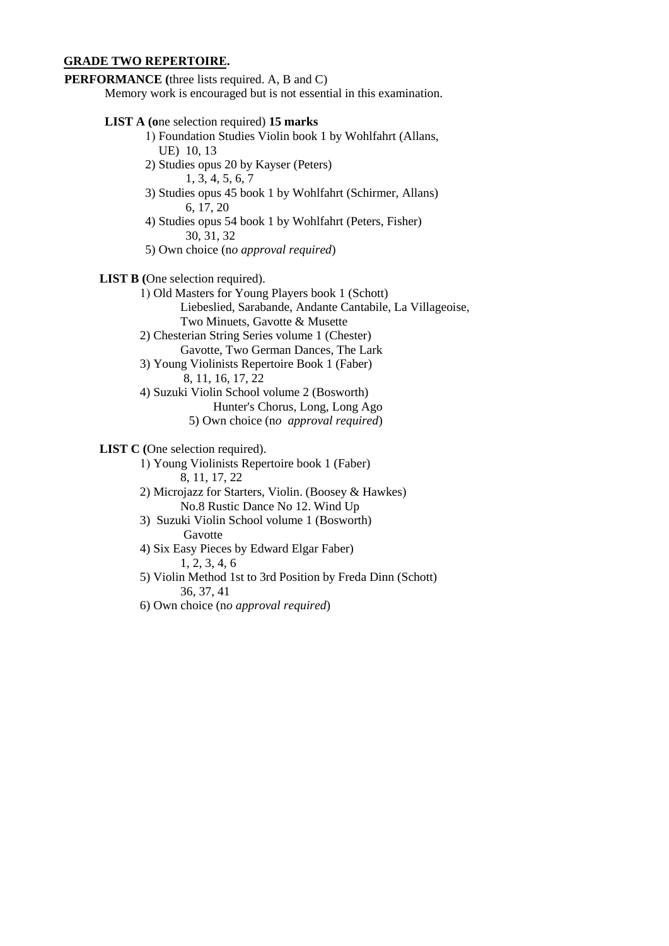#### **GRADE TWO REPERTOIRE.**

## **PERFORMANCE (**three lists required. A, B and C)

Memory work is encouraged but is not essential in this examination.

#### **LIST A (o**ne selection required) **15 marks**

- 1) Foundation Studies Violin book 1 by Wohlfahrt (Allans, UE) 10, 13
- 2) Studies opus 20 by Kayser (Peters)
	- 1, 3, 4, 5, 6, 7
- 3) Studies opus 45 book 1 by Wohlfahrt (Schirmer, Allans) 6, 17, 20
- 4) Studies opus 54 book 1 by Wohlfahrt (Peters, Fisher) 30, 31, 32
- 5) Own choice (n*o approval required*)
- **LIST B (**One selection required).
	- 1) Old Masters for Young Players book 1 (Schott)

Liebeslied, Sarabande, Andante Cantabile, La Villageoise, Two Minuets, Gavotte & Musette

- 2) Chesterian String Series volume 1 (Chester) Gavotte, Two German Dances, The Lark
- 3) Young Violinists Repertoire Book 1 (Faber) 8, 11, 16, 17, 22
- 4) Suzuki Violin School volume 2 (Bosworth)
	- Hunter's Chorus, Long, Long Ago 5) Own choice (n*o approval required*)
	-

# **LIST C (**One selection required).

- 1) Young Violinists Repertoire book 1 (Faber) 8, 11, 17, 22
- 2) Microjazz for Starters, Violin. (Boosey & Hawkes) No.8 Rustic Dance No 12. Wind Up
- 3) Suzuki Violin School volume 1 (Bosworth) Gavotte
- 4) Six Easy Pieces by Edward Elgar Faber) 1, 2, 3, 4, 6
- 5) Violin Method 1st to 3rd Position by Freda Dinn (Schott) 36, 37, 41
- 6) Own choice (n*o approval required*)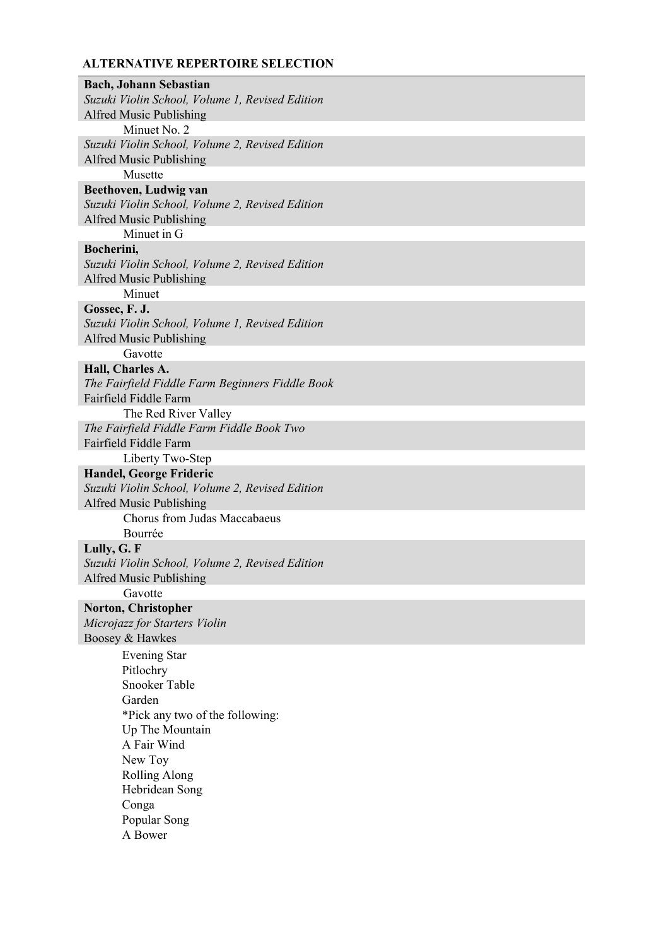**Bach, Johann Sebastian**  *Suzuki Violin School, Volume 1, Revised Edition* Alfred Music Publishing Minuet No. 2 *Suzuki Violin School, Volume 2, Revised Edition* Alfred Music Publishing Musette **Beethoven, Ludwig van**  *Suzuki Violin School, Volume 2, Revised Edition* Alfred Music Publishing Minuet in G **Bocherini,**  *Suzuki Violin School, Volume 2, Revised Edition* Alfred Music Publishing Minuet **Gossec, F. J.**  *Suzuki Violin School, Volume 1, Revised Edition* Alfred Music Publishing Gavotte **Hall, Charles A.**  *The Fairfield Fiddle Farm Beginners Fiddle Book*  Fairfield Fiddle Farm The Red River Valley *The Fairfield Fiddle Farm Fiddle Book Two*  Fairfield Fiddle Farm Liberty Two-Step **Handel, George Frideric**  *Suzuki Violin School, Volume 2, Revised Edition* Alfred Music Publishing Chorus from Judas Maccabaeus Bourrée **Lully, G. F**  *Suzuki Violin School, Volume 2, Revised Edition* Alfred Music Publishing Gavotte **Norton, Christopher**  *Microjazz for Starters Violin* Boosey & Hawkes Evening Star Pitlochry Snooker Table Garden \*Pick any two of the following: Up The Mountain A Fair Wind New Toy Rolling Along Hebridean Song Conga Popular Song A Bower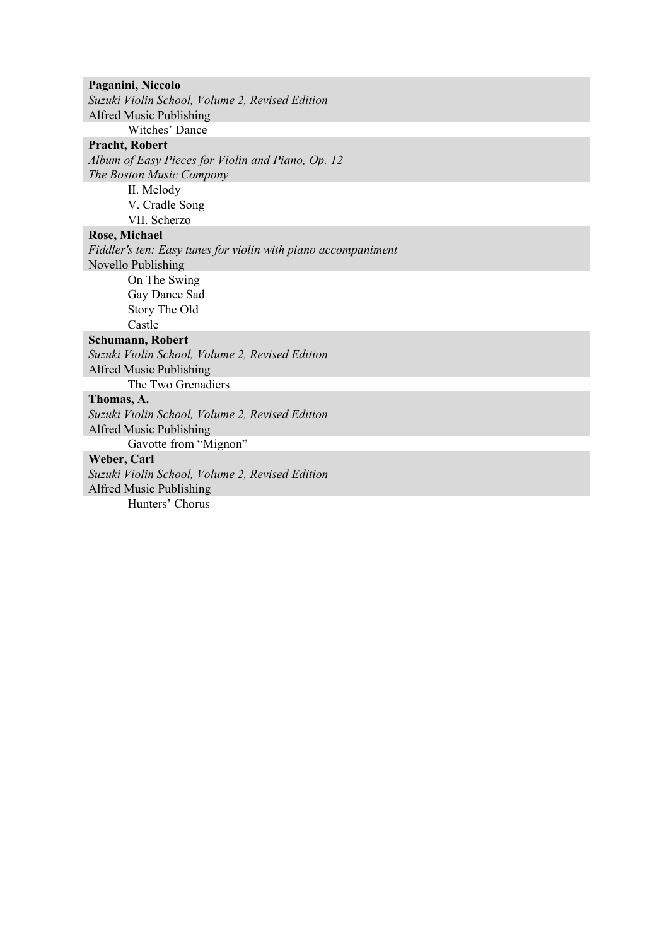**Paganini, Niccolo**  *Suzuki Violin School, Volume 2, Revised Edition* Alfred Music Publishing Witches' Dance **Pracht, Robert**  *Album of Easy Pieces for Violin and Piano, Op. 12 The Boston Music Compony*  II. Melody V. Cradle Song VII. Scherzo **Rose, Michael**  *Fiddler's ten: Easy tunes for violin with piano accompaniment* Novello Publishing On The Swing Gay Dance Sad Story The Old Castle **Schumann, Robert**  *Suzuki Violin School, Volume 2, Revised Edition* Alfred Music Publishing The Two Grenadiers **Thomas, A.**  *Suzuki Violin School, Volume 2, Revised Edition* Alfred Music Publishing Gavotte from "Mignon" **Weber, Carl**  *Suzuki Violin School, Volume 2, Revised Edition* Alfred Music Publishing Hunters' Chorus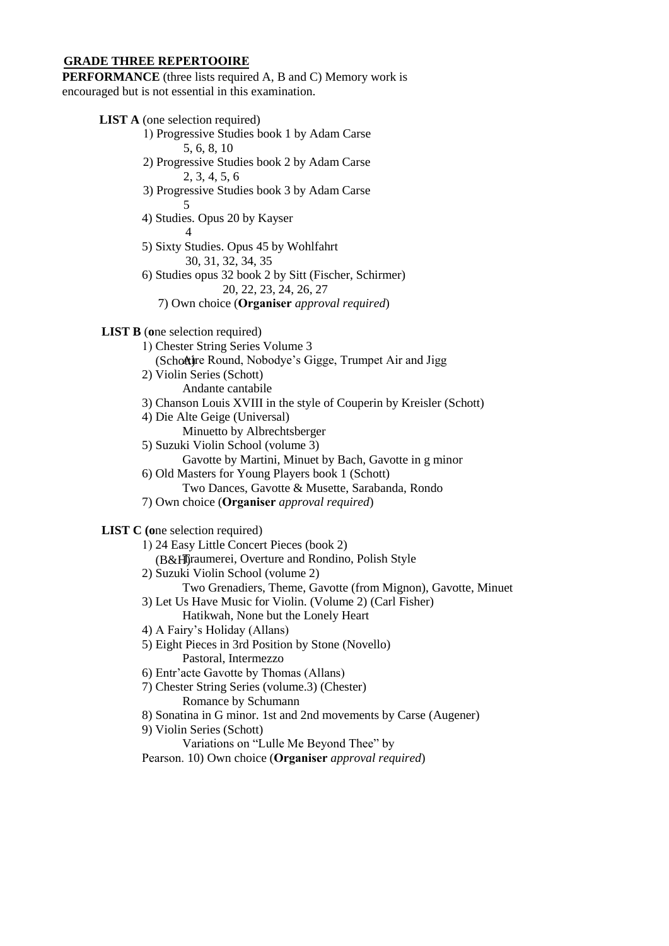#### **GRADE THREE REPERTOOIRE**

**PERFORMANCE** (three lists required A, B and C) Memory work is encouraged but is not essential in this examination.

**LIST A** (one selection required)

- 1) Progressive Studies book 1 by Adam Carse 5, 6, 8, 10
- 2) Progressive Studies book 2 by Adam Carse 2, 3, 4, 5, 6
- 3) Progressive Studies book 3 by Adam Carse 5
- 4) Studies. Opus 20 by Kayser 4
- 5) Sixty Studies. Opus 45 by Wohlfahrt 30, 31, 32, 34, 35

6) Studies opus 32 book 2 by Sitt (Fischer, Schirmer) 20, 22, 23, 24, 26, 27

7) Own choice (**Organiser** *approval required*)

### **LIST B** (**o**ne selection required)

- 1) Chester String Series Volume 3
	- (Schottignation Round, Nobodye's Gigge, Trumpet Air and Jigg
- 2) Violin Series (Schott)
	- Andante cantabile
- 3) Chanson Louis XVIII in the style of Couperin by Kreisler (Schott)
- 4) Die Alte Geige (Universal)
- Minuetto by Albrechtsberger
- 5) Suzuki Violin School (volume 3)
	- Gavotte by Martini, Minuet by Bach, Gavotte in g minor
- 6) Old Masters for Young Players book 1 (Schott)
- Two Dances, Gavotte & Musette, Sarabanda, Rondo
- 7) Own choice (**Organiser** *approval required*)

**LIST C (o**ne selection required)

- 1) 24 Easy Little Concert Pieces (book 2) (B&H)Traumerei, Overture and Rondino, Polish Style
- 2) Suzuki Violin School (volume 2)
	- Two Grenadiers, Theme, Gavotte (from Mignon), Gavotte, Minuet
- 3) Let Us Have Music for Violin. (Volume 2) (Carl Fisher)

Hatikwah, None but the Lonely Heart

- 4) A Fairy's Holiday (Allans)
- 5) Eight Pieces in 3rd Position by Stone (Novello) Pastoral, Intermezzo
- 6) Entr'acte Gavotte by Thomas (Allans)
- 7) Chester String Series (volume.3) (Chester) Romance by Schumann
- 8) Sonatina in G minor. 1st and 2nd movements by Carse (Augener)
- 9) Violin Series (Schott)
	- Variations on "Lulle Me Beyond Thee" by
- Pearson. 10) Own choice (**Organiser** *approval required*)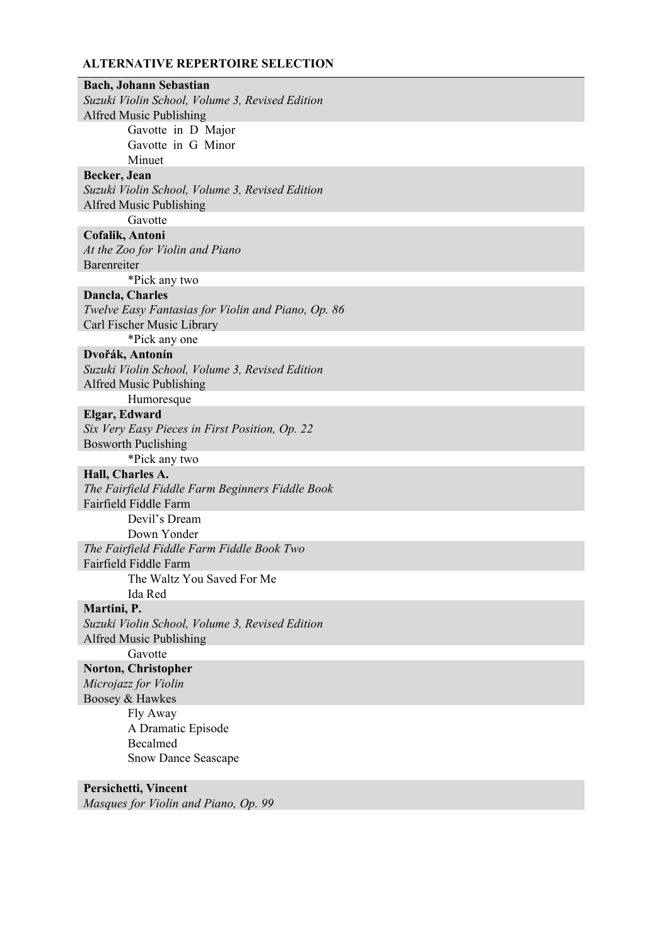**Bach, Johann Sebastian**  *Suzuki Violin School, Volume 3, Revised Edition* Alfred Music Publishing Gavotte in D Major Gavotte in G Minor Minuet **Becker, Jean**  *Suzuki Violin School, Volume 3, Revised Edition* Alfred Music Publishing Gavotte **Cofalik, Antoni**  *At the Zoo for Violin and Piano*  Barenreiter \*Pick any two **Dancla, Charles**  *Twelve Easy Fantasias for Violin and Piano, Op. 86*  Carl Fischer Music Library \*Pick any one **Dvořák, Antonín**  *Suzuki Violin School, Volume 3, Revised Edition* Alfred Music Publishing Humoresque **Elgar, Edward**  *Six Very Easy Pieces in First Position, Op. 22*  Bosworth Puclishing \*Pick any two **Hall, Charles A.**  *The Fairfield Fiddle Farm Beginners Fiddle Book*  Fairfield Fiddle Farm Devil's Dream Down Yonder *The Fairfield Fiddle Farm Fiddle Book Two*  Fairfield Fiddle Farm The Waltz You Saved For Me Ida Red **Martini, P.**  *Suzuki Violin School, Volume 3, Revised Edition* Alfred Music Publishing Gavotte **Norton, Christopher**  *Microjazz for Violin* Boosey & Hawkes Fly Away A Dramatic Episode Becalmed Snow Dance Seascape **Persichetti, Vincent**

*Masques for Violin and Piano, Op. 99*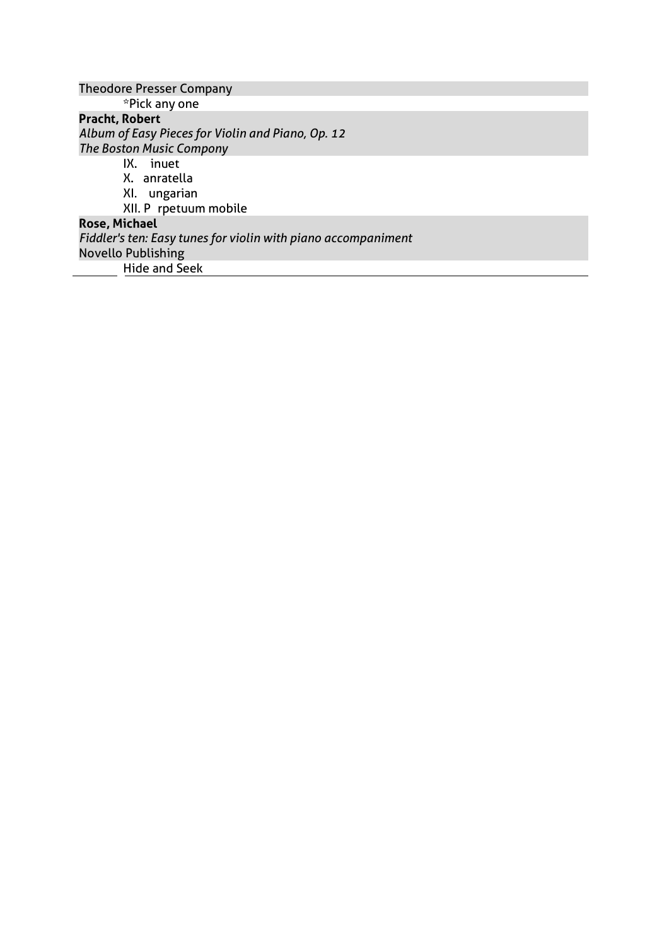| <b>Theodore Presser Company</b>                               |
|---------------------------------------------------------------|
| *Pick any one                                                 |
| <b>Pracht, Robert</b>                                         |
| Album of Easy Pieces for Violin and Piano, Op. 12             |
| <b>The Boston Music Compony</b>                               |
| inuet<br>IX.                                                  |
| X. anratella                                                  |
| XI. ungarian                                                  |
| XII. P rpetuum mobile                                         |
| <b>Rose, Michael</b>                                          |
| Fiddler's ten: Easy tunes for violin with piano accompaniment |
| <b>Novello Publishing</b>                                     |
| <b>Hide and Seek</b>                                          |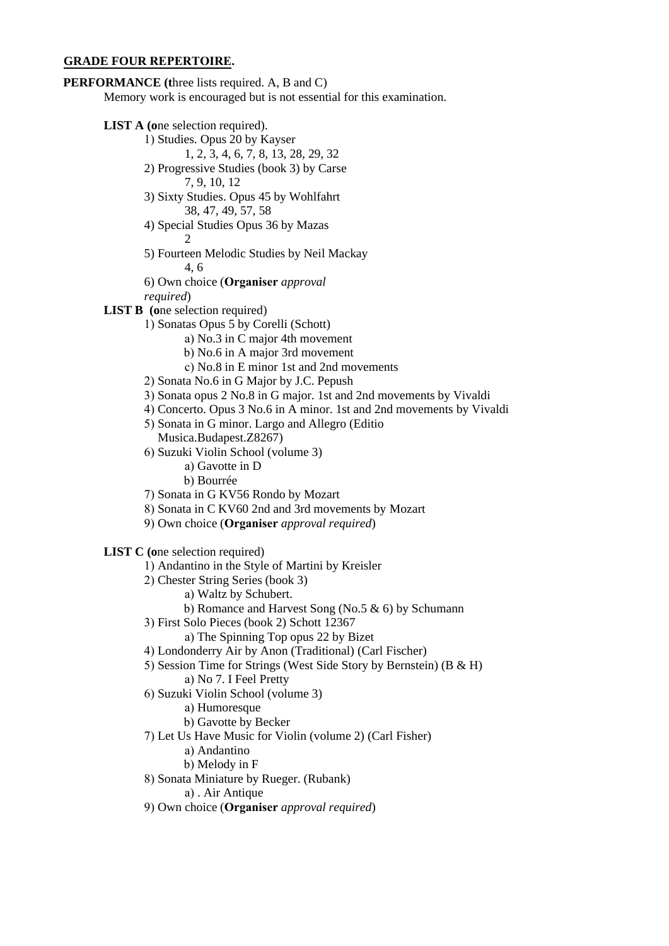#### **GRADE FOUR REPERTOIRE.**

**PERFORMANCE (t**hree lists required. A, B and C)

Memory work is encouraged but is not essential for this examination.

- **LIST A (o**ne selection required).
	- 1) Studies. Opus 20 by Kayser
		- 1, 2, 3, 4, 6, 7, 8, 13, 28, 29, 32
	- 2) Progressive Studies (book 3) by Carse
		- 7, 9, 10, 12
	- 3) Sixty Studies. Opus 45 by Wohlfahrt 38, 47, 49, 57, 58
	- 4) Special Studies Opus 36 by Mazas 2
	- 5) Fourteen Melodic Studies by Neil Mackay 4, 6
	- 6) Own choice (**Organiser** *approval*

*required*)

- **LIST B** (one selection required)
	- 1) Sonatas Opus 5 by Corelli (Schott)
		- a) No.3 in C major 4th movement
		- b) No.6 in A major 3rd movement
		- c) No.8 in E minor 1st and 2nd movements
	- 2) Sonata No.6 in G Major by J.C. Pepush
	- 3) Sonata opus 2 No.8 in G major. 1st and 2nd movements by Vivaldi
	- 4) Concerto. Opus 3 No.6 in A minor. 1st and 2nd movements by Vivaldi
	- 5) Sonata in G minor. Largo and Allegro (Editio Musica.Budapest.Z8267)
	- 6) Suzuki Violin School (volume 3) a) Gavotte in D
		- b) Bourrée
	- 7) Sonata in G KV56 Rondo by Mozart
	- 8) Sonata in C KV60 2nd and 3rd movements by Mozart
	- 9) Own choice (**Organiser** *approval required*)

**LIST C (o**ne selection required)

- 1) Andantino in the Style of Martini by Kreisler
- 2) Chester String Series (book 3)
	- a) Waltz by Schubert.
	- b) Romance and Harvest Song (No.5 & 6) by Schumann
- 3) First Solo Pieces (book 2) Schott 12367
	- a) The Spinning Top opus 22 by Bizet
- 4) Londonderry Air by Anon (Traditional) (Carl Fischer)
- 5) Session Time for Strings (West Side Story by Bernstein) (B & H) a) No 7. I Feel Pretty
- 6) Suzuki Violin School (volume 3)
	- a) Humoresque
	- b) Gavotte by Becker
- 7) Let Us Have Music for Violin (volume 2) (Carl Fisher)
	- a) Andantino
	- b) Melody in F
- 8) Sonata Miniature by Rueger. (Rubank)

a) . Air Antique

9) Own choice (**Organiser** *approval required*)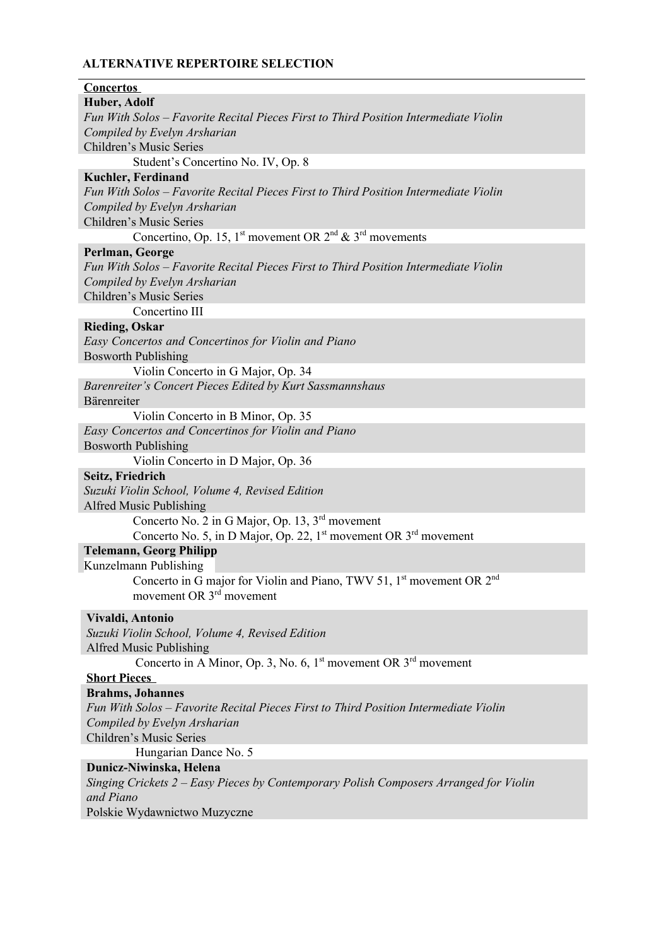| Huber, Adolf                                                                                  |
|-----------------------------------------------------------------------------------------------|
| Fun With Solos – Favorite Recital Pieces First to Third Position Intermediate Violin          |
| Compiled by Evelyn Arsharian                                                                  |
| Children's Music Series                                                                       |
| Student's Concertino No. IV, Op. 8                                                            |
| <b>Kuchler, Ferdinand</b>                                                                     |
| Fun With Solos – Favorite Recital Pieces First to Third Position Intermediate Violin          |
| Compiled by Evelyn Arsharian                                                                  |
| Children's Music Series                                                                       |
| Concertino, Op. 15, 1 <sup>st</sup> movement OR $2^{nd}$ & $3^{rd}$ movements                 |
| Perlman, George                                                                               |
| Fun With Solos – Favorite Recital Pieces First to Third Position Intermediate Violin          |
| Compiled by Evelyn Arsharian                                                                  |
| Children's Music Series                                                                       |
| Concertino III                                                                                |
| <b>Rieding, Oskar</b>                                                                         |
| Easy Concertos and Concertinos for Violin and Piano                                           |
| <b>Bosworth Publishing</b>                                                                    |
| Violin Concerto in G Major, Op. 34                                                            |
| Barenreiter's Concert Pieces Edited by Kurt Sassmannshaus                                     |
| Bärenreiter                                                                                   |
| Violin Concerto in B Minor, Op. 35                                                            |
| Easy Concertos and Concertinos for Violin and Piano                                           |
| <b>Bosworth Publishing</b>                                                                    |
| Violin Concerto in D Major, Op. 36                                                            |
| Seitz, Friedrich                                                                              |
| Suzuki Violin School, Volume 4, Revised Edition                                               |
| Alfred Music Publishing                                                                       |
|                                                                                               |
| Concerto No. 2 in G Major, Op. 13, 3 <sup>rd</sup> movement                                   |
| Concerto No. 5, in D Major, Op. 22, $1st$ movement OR $3rd$ movement                          |
| <b>Telemann, Georg Philipp</b>                                                                |
| Kunzelmann Publishing                                                                         |
| Concerto in G major for Violin and Piano, TWV 51, 1 <sup>st</sup> movement OR 2 <sup>nd</sup> |
| movement OR 3 <sup>rd</sup> movement                                                          |
| Vivaldi, Antonio                                                                              |
| Suzuki Violin School, Volume 4, Revised Edition                                               |
| Alfred Music Publishing                                                                       |
| Concerto in A Minor, Op. 3, No. 6, $1st$ movement OR $3rd$ movement                           |
| <b>Short Pieces</b>                                                                           |
| <b>Brahms</b> , Johannes                                                                      |
| Fun With Solos – Favorite Recital Pieces First to Third Position Intermediate Violin          |
| Compiled by Evelyn Arsharian                                                                  |
| Children's Music Series                                                                       |
| Hungarian Dance No. 5                                                                         |
| Dunicz-Niwinska, Helena                                                                       |
| Singing Crickets 2 – Easy Pieces by Contemporary Polish Composers Arranged for Violin         |
| and Piano                                                                                     |
| Polskie Wydawnictwo Muzyczne                                                                  |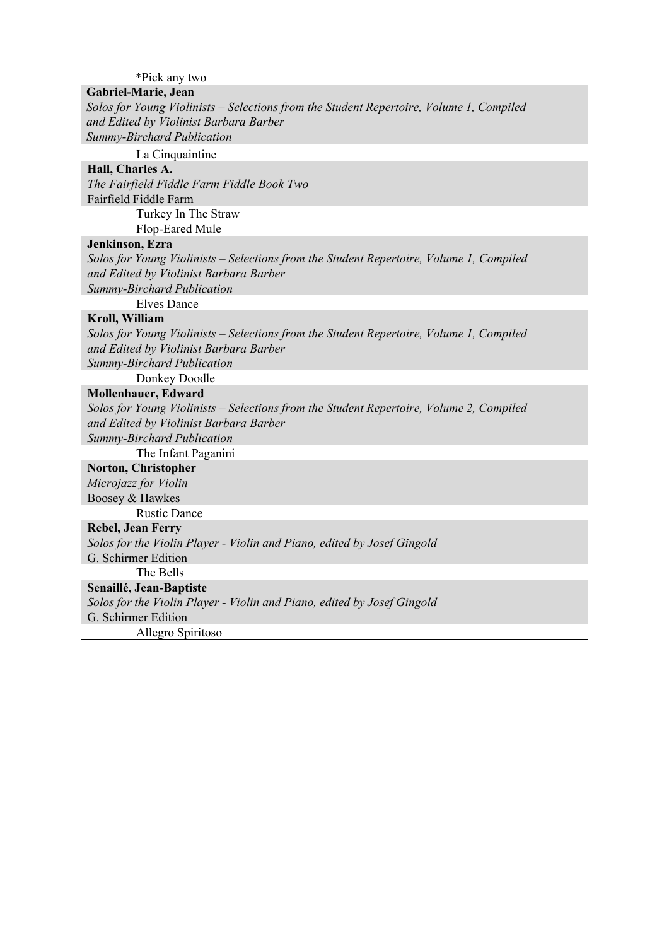\*Pick any two

# **Gabriel-Marie, Jean**

*Solos for Young Violinists – Selections from the Student Repertoire, Volume 1, Compiled and Edited by Violinist Barbara Barber* 

*Summy-Birchard Publication*

La Cinquaintine

# **Hall, Charles A.**

*The Fairfield Fiddle Farm Fiddle Book Two*  Fairfield Fiddle Farm Turkey In The Straw Flop-Eared Mule

### **Jenkinson, Ezra**

*Solos for Young Violinists – Selections from the Student Repertoire, Volume 1, Compiled and Edited by Violinist Barbara Barber Summy-Birchard Publication*

Elves Dance

### **Kroll, William**

*Solos for Young Violinists – Selections from the Student Repertoire, Volume 1, Compiled and Edited by Violinist Barbara Barber Summy-Birchard Publication*

Donkey Doodle

### **Mollenhauer, Edward**

*Solos for Young Violinists – Selections from the Student Repertoire, Volume 2, Compiled and Edited by Violinist Barbara Barber* 

*Summy-Birchard Publication*

# The Infant Paganini

**Norton, Christopher**  *Microjazz for Violin* Boosey & Hawkes

Rustic Dance

## **Rebel, Jean Ferry**

*Solos for the Violin Player - Violin and Piano, edited by Josef Gingold* 

G. Schirmer Edition

The Bells

**Senaillé, Jean-Baptiste** 

*Solos for the Violin Player - Violin and Piano, edited by Josef Gingold* 

G. Schirmer Edition

Allegro Spiritoso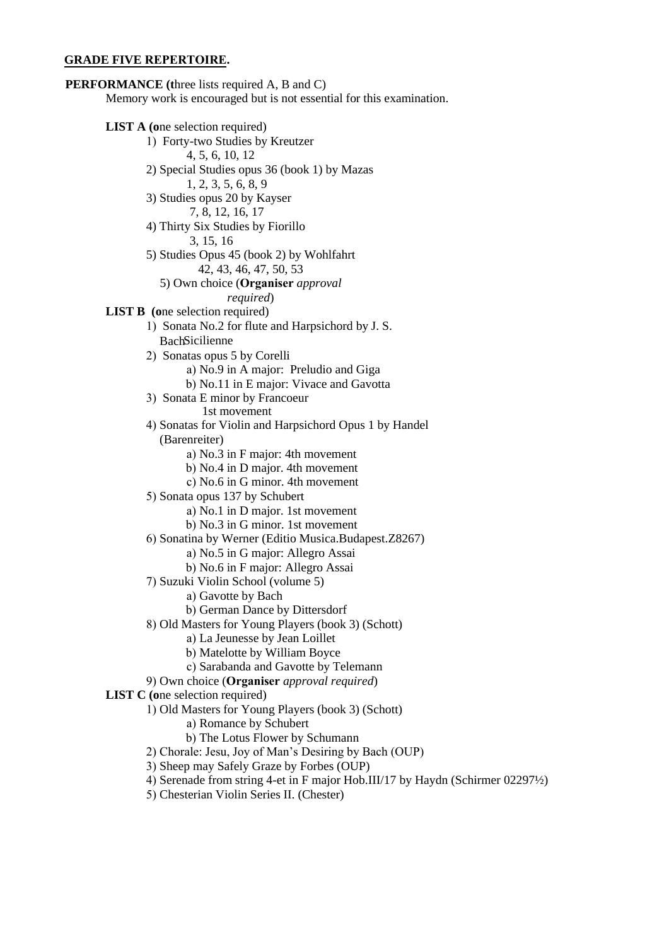#### **GRADE FIVE REPERTOIRE.**

**PERFORMANCE (t**hree lists required A, B and C) Memory work is encouraged but is not essential for this examination. **LIST A** (one selection required) 1) Forty-two Studies by Kreutzer 4, 5, 6, 10, 12 2) Special Studies opus 36 (book 1) by Mazas 1, 2, 3, 5, 6, 8, 9 3) Studies opus 20 by Kayser 7, 8, 12, 16, 17 4) Thirty Six Studies by Fiorillo 3, 15, 16 5) Studies Opus 45 (book 2) by Wohlfahrt 42, 43, 46, 47, 50, 53 5) Own choice (**Organiser** *approval required*) **LIST B** (one selection required) 1) Sonata No.2 for flute and Harpsichord by J. S. BachSicilienne 2) Sonatas opus 5 by Corelli a) No.9 in A major: Preludio and Giga b) No.11 in E major: Vivace and Gavotta 3) Sonata E minor by Francoeur 1st movement 4) Sonatas for Violin and Harpsichord Opus 1 by Handel (Barenreiter) a) No.3 in F major: 4th movement b) No.4 in D major. 4th movement c) No.6 in G minor. 4th movement 5) Sonata opus 137 by Schubert a) No.1 in D major. 1st movement b) No.3 in G minor. 1st movement 6) Sonatina by Werner (Editio Musica.Budapest.Z8267) a) No.5 in G major: Allegro Assai b) No.6 in F major: Allegro Assai 7) Suzuki Violin School (volume 5) a) Gavotte by Bach b) German Dance by Dittersdorf 8) Old Masters for Young Players (book 3) (Schott) a) La Jeunesse by Jean Loillet b) Matelotte by William Boyce c) Sarabanda and Gavotte by Telemann 9) Own choice (**Organiser** *approval required*) **LIST C (o**ne selection required) 1) Old Masters for Young Players (book 3) (Schott) a) Romance by Schubert b) The Lotus Flower by Schumann 2) Chorale: Jesu, Joy of Man's Desiring by Bach (OUP) 3) Sheep may Safely Graze by Forbes (OUP) 4) Serenade from string 4-et in F major Hob.III/17 by Haydn (Schirmer 02297½) 5) Chesterian Violin Series II. (Chester)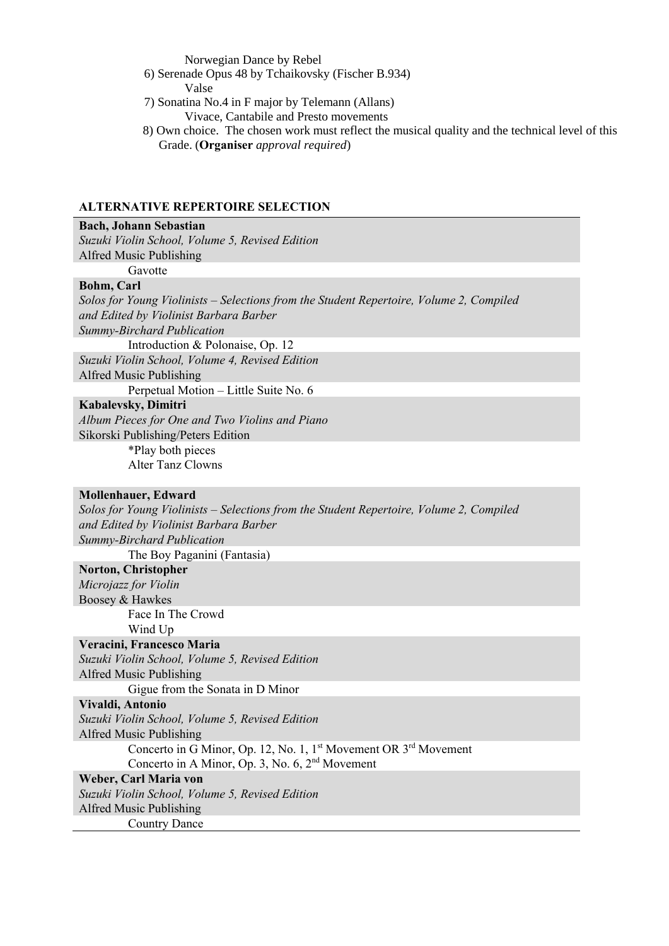Norwegian Dance by Rebel

6) Serenade Opus 48 by Tchaikovsky (Fischer B.934)

Valse

- 7) Sonatina No.4 in F major by Telemann (Allans) Vivace, Cantabile and Presto movements
- 8) Own choice. The chosen work must reflect the musical quality and the technical level of this Grade. (**Organiser** *approval required*)

## **ALTERNATIVE REPERTOIRE SELECTION**

#### **Bach, Johann Sebastian**

*Suzuki Violin School, Volume 5, Revised Edition* Alfred Music Publishing

Gavotte

### **Bohm, Carl**

*Solos for Young Violinists – Selections from the Student Repertoire, Volume 2, Compiled and Edited by Violinist Barbara Barber Summy-Birchard Publication*

Introduction & Polonaise, Op. 12 *Suzuki Violin School, Volume 4, Revised Edition* Alfred Music Publishing

Perpetual Motion – Little Suite No. 6

#### **Kabalevsky, Dimitri**

*Album Pieces for One and Two Violins and Piano*  Sikorski Publishing/Peters Edition \*Play both pieces

Alter Tanz Clowns

### **Mollenhauer, Edward**

*Solos for Young Violinists – Selections from the Student Repertoire, Volume 2, Compiled and Edited by Violinist Barbara Barber Summy-Birchard Publication* The Boy Paganini (Fantasia)

# **Norton, Christopher**

*Microjazz for Violin* Boosey & Hawkes Face In The Crowd Wind Up

## **Veracini, Francesco Maria**

*Suzuki Violin School, Volume 5, Revised Edition* Alfred Music Publishing

Gigue from the Sonata in D Minor

## **Vivaldi, Antonio**

*Suzuki Violin School, Volume 5, Revised Edition* Alfred Music Publishing Concerto in G Minor, Op. 12, No. 1, 1<sup>st</sup> Movement OR 3<sup>rd</sup> Movement

Concerto in A Minor, Op. 3, No. 6, 2nd Movement

# **Weber, Carl Maria von**

*Suzuki Violin School, Volume 5, Revised Edition*

Alfred Music Publishing

Country Dance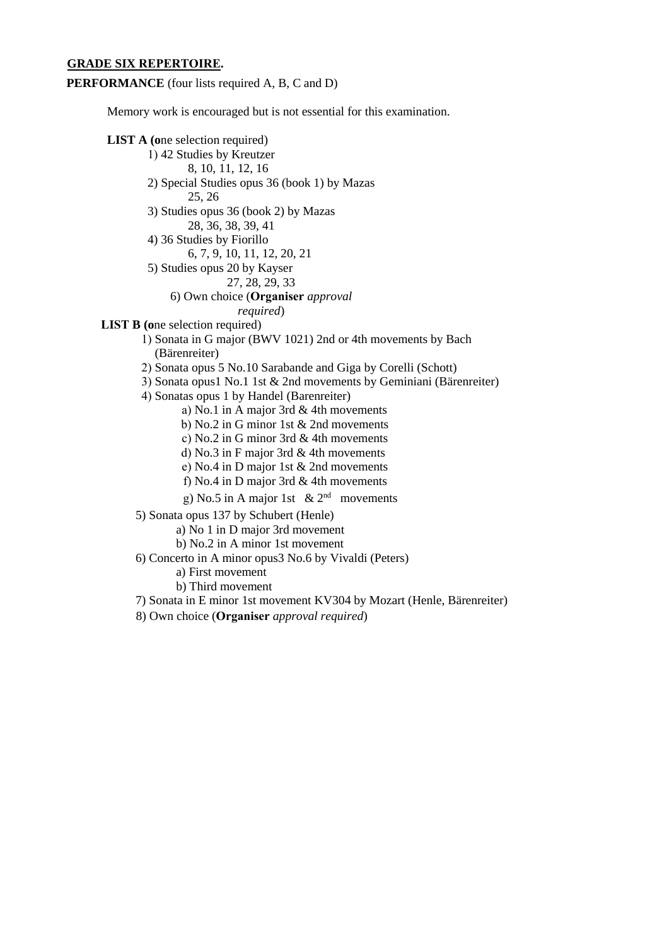### **GRADE SIX REPERTOIRE.**

**PERFORMANCE** (four lists required A, B, C and D)

Memory work is encouraged but is not essential for this examination.

## **LIST A (o**ne selection required)

- 1) 42 Studies by Kreutzer
	- 8, 10, 11, 12, 16
- 2) Special Studies opus 36 (book 1) by Mazas 25, 26
- 3) Studies opus 36 (book 2) by Mazas 28, 36, 38, 39, 41
- 4) 36 Studies by Fiorillo
- 6, 7, 9, 10, 11, 12, 20, 21
- 5) Studies opus 20 by Kayser
	- 27, 28, 29, 33
	- 6) Own choice (**Organiser** *approval* 
		- *required*)
- **LIST B** (one selection required)

1) Sonata in G major (BWV 1021) 2nd or 4th movements by Bach (Bärenreiter)

- 2) Sonata opus 5 No.10 Sarabande and Giga by Corelli (Schott)
- 3) Sonata opus1 No.1 1st & 2nd movements by Geminiani (Bärenreiter)
- 4) Sonatas opus 1 by Handel (Barenreiter)
	- a) No.1 in A major 3rd & 4th movements
	- b) No.2 in G minor 1st & 2nd movements
	- c) No.2 in G minor 3rd & 4th movements
	- d) No.3 in F major 3rd & 4th movements
	- e) No.4 in D major 1st & 2nd movements
	- f) No.4 in D major 3rd & 4th movements
	- g) No.5 in A major 1st &  $2<sup>nd</sup>$  movements

5) Sonata opus 137 by Schubert (Henle)

- a) No 1 in D major 3rd movement
- b) No.2 in A minor 1st movement
- 6) Concerto in A minor opus3 No.6 by Vivaldi (Peters)
	- a) First movement
	- b) Third movement
- 7) Sonata in E minor 1st movement KV304 by Mozart (Henle, Bärenreiter)
- 8) Own choice (**Organiser** *approval required*)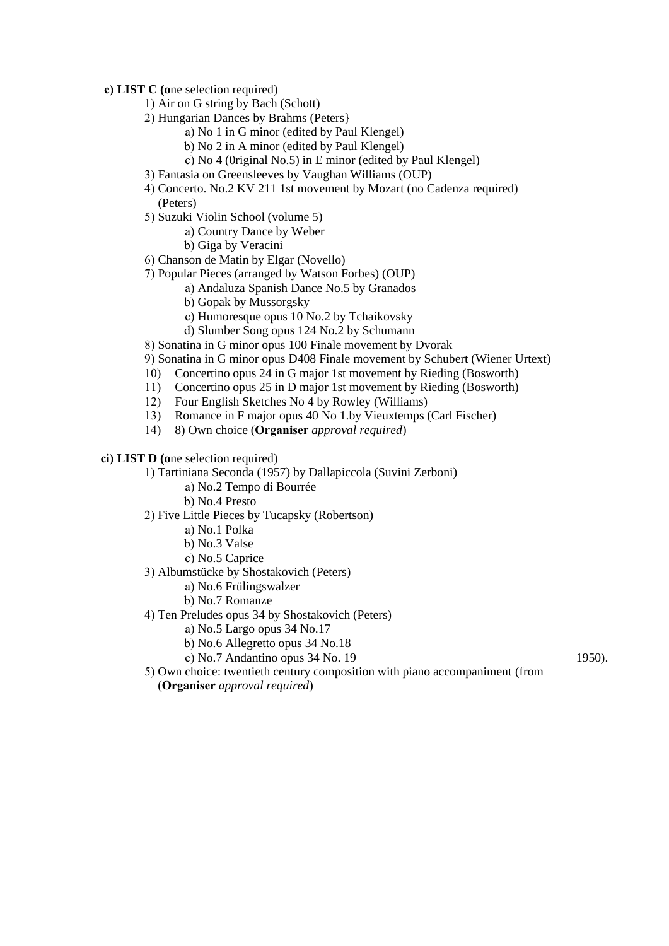**c) LIST C (o**ne selection required)

- 1) Air on G string by Bach (Schott)
- 2) Hungarian Dances by Brahms (Peters}
	- a) No 1 in G minor (edited by Paul Klengel)
	- b) No 2 in A minor (edited by Paul Klengel)
	- c) No 4 (0riginal No.5) in E minor (edited by Paul Klengel)
- 3) Fantasia on Greensleeves by Vaughan Williams (OUP)
- 4) Concerto. No.2 KV 211 1st movement by Mozart (no Cadenza required) (Peters)
- 5) Suzuki Violin School (volume 5)
	- a) Country Dance by Weber
		- b) Giga by Veracini
- 6) Chanson de Matin by Elgar (Novello)
- 7) Popular Pieces (arranged by Watson Forbes) (OUP)
	- a) Andaluza Spanish Dance No.5 by Granados
	- b) Gopak by Mussorgsky
	- c) Humoresque opus 10 No.2 by Tchaikovsky
	- d) Slumber Song opus 124 No.2 by Schumann
- 8) Sonatina in G minor opus 100 Finale movement by Dvorak
- 9) Sonatina in G minor opus D408 Finale movement by Schubert (Wiener Urtext)
- 10) Concertino opus 24 in G major 1st movement by Rieding (Bosworth)
- 11) Concertino opus 25 in D major 1st movement by Rieding (Bosworth)
- 12) Four English Sketches No 4 by Rowley (Williams)<br>13) Romance in F major opus 40 No 1.by Vieuxtemps (
- Romance in F major opus 40 No 1.by Vieuxtemps (Carl Fischer)
- 14) 8) Own choice (**Organiser** *approval required*)
- **ci) LIST D (o**ne selection required)
	- 1) Tartiniana Seconda (1957) by Dallapiccola (Suvini Zerboni)
		- a) No.2 Tempo di Bourrée
		- b) No.4 Presto
	- 2) Five Little Pieces by Tucapsky (Robertson)
		- a) No.1 Polka
		- b) No.3 Valse
		- c) No.5 Caprice
	- 3) Albumstücke by Shostakovich (Peters)
		- a) No.6 Frülingswalzer
		- b) No.7 Romanze
	- 4) Ten Preludes opus 34 by Shostakovich (Peters)
		- a) No.5 Largo opus 34 No.17
		- b) No.6 Allegretto opus 34 No.18
		- c) No.7 Andantino opus 34 No. 19
- 1950).
- 5) Own choice: twentieth century composition with piano accompaniment (from (**Organiser** *approval required*)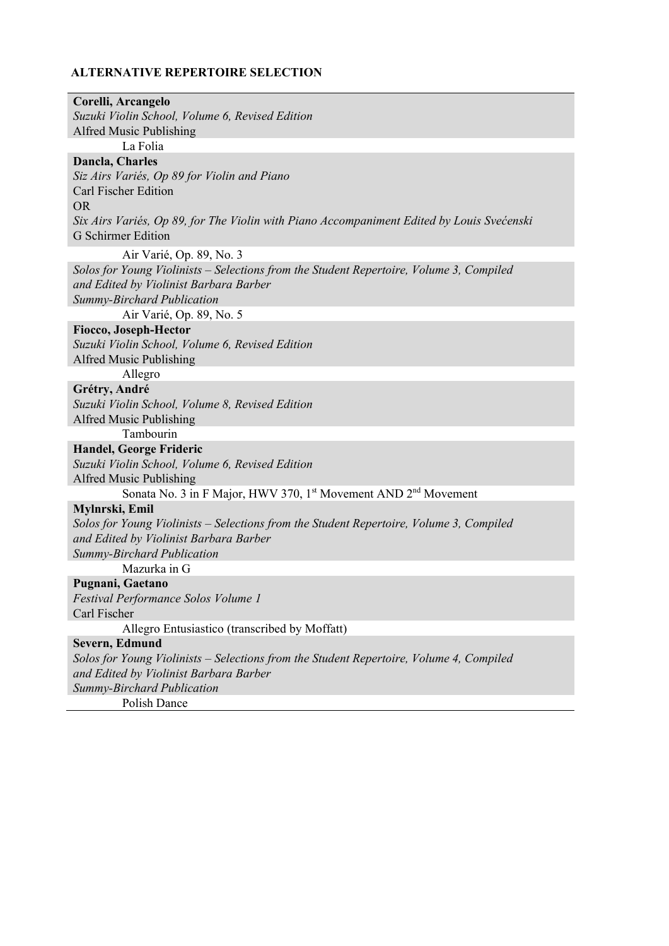| Corelli, Arcangelo                                                                        |
|-------------------------------------------------------------------------------------------|
| Suzuki Violin School, Volume 6, Revised Edition                                           |
| Alfred Music Publishing                                                                   |
| La Folia                                                                                  |
| Dancla, Charles                                                                           |
| Siz Airs Variés, Op 89 for Violin and Piano                                               |
| Carl Fischer Edition                                                                      |
| <b>OR</b>                                                                                 |
| Six Airs Variés, Op 89, for The Violin with Piano Accompaniment Edited by Louis Svećenski |
| <b>G</b> Schirmer Edition                                                                 |
| Air Varié, Op. 89, No. 3                                                                  |
| Solos for Young Violinists – Selections from the Student Repertoire, Volume 3, Compiled   |
| and Edited by Violinist Barbara Barber                                                    |
| Summy-Birchard Publication                                                                |
| Air Varié, Op. 89, No. 5                                                                  |
| <b>Fiocco, Joseph-Hector</b>                                                              |
| Suzuki Violin School, Volume 6, Revised Edition                                           |
| Alfred Music Publishing                                                                   |
| Allegro                                                                                   |
| Grétry, André                                                                             |
| Suzuki Violin School, Volume 8, Revised Edition                                           |
| Alfred Music Publishing                                                                   |
| Tambourin                                                                                 |
| Handel, George Frideric                                                                   |
| Suzuki Violin School, Volume 6, Revised Edition                                           |
|                                                                                           |
| Alfred Music Publishing                                                                   |
| Sonata No. 3 in F Major, HWV 370, 1st Movement AND 2 <sup>nd</sup> Movement               |
| Mylnrski, Emil                                                                            |
| Solos for Young Violinists – Selections from the Student Repertoire, Volume 3, Compiled   |
| and Edited by Violinist Barbara Barber                                                    |
| Summy-Birchard Publication                                                                |
| Mazurka in G                                                                              |
| Pugnani, Gaetano                                                                          |
| <b>Festival Performance Solos Volume 1</b>                                                |
| Carl Fischer                                                                              |
| Allegro Entusiastico (transcribed by Moffatt)                                             |
| Severn, Edmund                                                                            |
| Solos for Young Violinists – Selections from the Student Repertoire, Volume 4, Compiled   |
| and Edited by Violinist Barbara Barber                                                    |
| Summy-Birchard Publication                                                                |
| Polish Dance                                                                              |
|                                                                                           |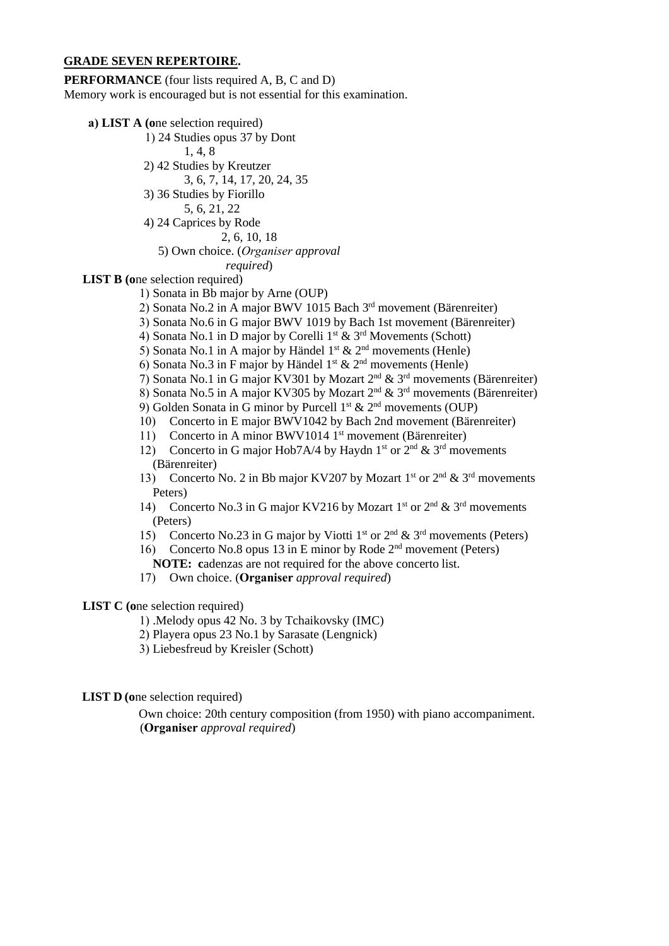#### **GRADE SEVEN REPERTOIRE.**

**PERFORMANCE** (four lists required A, B, C and D) Memory work is encouraged but is not essential for this examination.

- **a) LIST A (o**ne selection required)
	- 1) 24 Studies opus 37 by Dont
	- 1, 4, 8
	- 2) 42 Studies by Kreutzer
		- 3, 6, 7, 14, 17, 20, 24, 35
	- 3) 36 Studies by Fiorillo
		- 5, 6, 21, 22
	- 4) 24 Caprices by Rode
		- 2, 6, 10, 18

# 5) Own choice. (*Organiser approval*

*required*)

**LIST B** (one selection required)

- 1) Sonata in Bb major by Arne (OUP)
- 2) Sonata No.2 in A major BWV 1015 Bach 3rd movement (Bärenreiter)
- 3) Sonata No.6 in G major BWV 1019 by Bach 1st movement (Bärenreiter)
- 4) Sonata No.1 in D major by Corelli 1<sup>st</sup> & 3<sup>rd</sup> Movements (Schott)
- 5) Sonata No.1 in A major by Händel  $1^{st}$  &  $2^{nd}$  movements (Henle)
- 6) Sonata No.3 in F major by Händel  $1^{st}$  &  $2^{nd}$  movements (Henle)
- 7) Sonata No.1 in G major KV301 by Mozart 2 nd & 3 rd movements (Bärenreiter)
- 8) Sonata No.5 in A major KV305 by Mozart  $2<sup>nd</sup>$  & 3<sup>rd</sup> movements (Bärenreiter)
- 9) Golden Sonata in G minor by Purcell  $1^{st}$  &  $2^{nd}$  movements (OUP)
- 10) Concerto in E major BWV1042 by Bach 2nd movement (Bärenreiter)
- 11) Concerto in A minor BWV1014 1<sup>st</sup> movement (Bärenreiter)
- 12) Concerto in G major Hob7A/4 by Haydn  $1<sup>st</sup>$  or  $2<sup>nd</sup>$  &  $3<sup>rd</sup>$  movements (Bärenreiter)
- 13) Concerto No. 2 in Bb major KV207 by Mozart 1<sup>st</sup> or  $2<sup>nd</sup> \& 3<sup>rd</sup>$  movements Peters)
- 14) Concerto No.3 in G major KV216 by Mozart 1<sup>st</sup> or  $2<sup>nd</sup>$  &  $3<sup>rd</sup>$  movements (Peters)
- 15) Concerto No.23 in G major by Viotti 1<sup>st</sup> or  $2<sup>nd</sup> \& 3<sup>rd</sup>$  movements (Peters)
- 16) Concerto No.8 opus 13 in E minor by Rode  $2<sup>nd</sup>$  movement (Peters) **NOTE: c**adenzas are not required for the above concerto list.
- 17) Own choice. (**Organiser** *approval required*)

## **LIST C (o**ne selection required)

- 1) .Melody opus 42 No. 3 by Tchaikovsky (IMC)
- 2) Playera opus 23 No.1 by Sarasate (Lengnick)
- 3) Liebesfreud by Kreisler (Schott)

### **LIST D** (one selection required)

Own choice: 20th century composition (from 1950) with piano accompaniment. (**Organiser** *approval required*)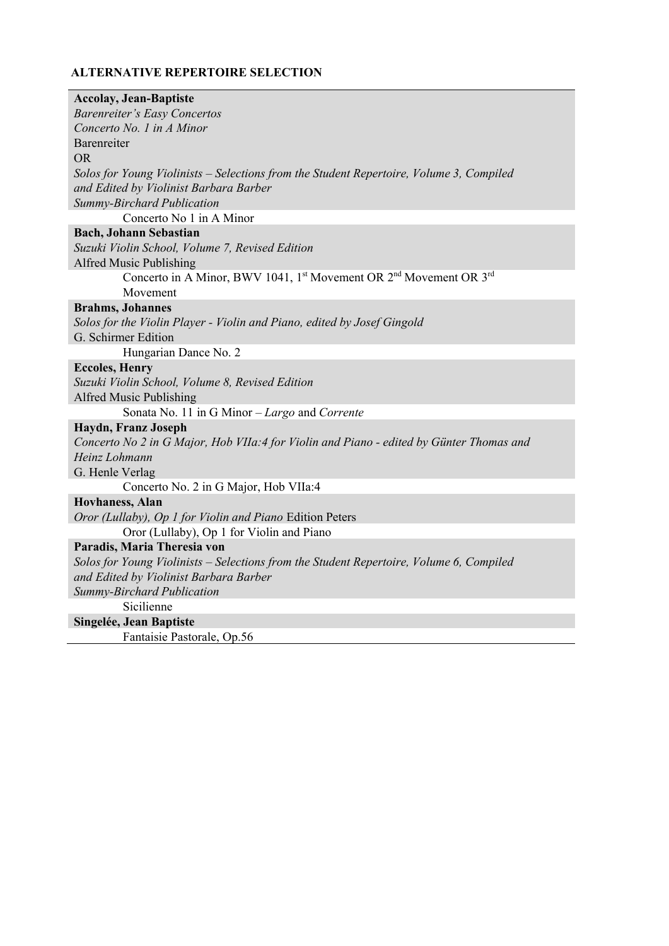| <b>Accolay, Jean-Baptiste</b>                                                                          |
|--------------------------------------------------------------------------------------------------------|
| <b>Barenreiter's Easy Concertos</b>                                                                    |
| Concerto No. 1 in A Minor                                                                              |
| Barenreiter                                                                                            |
| <b>OR</b>                                                                                              |
| Solos for Young Violinists – Selections from the Student Repertoire, Volume 3, Compiled                |
| and Edited by Violinist Barbara Barber                                                                 |
| Summy-Birchard Publication                                                                             |
| Concerto No 1 in A Minor                                                                               |
| <b>Bach, Johann Sebastian</b>                                                                          |
| Suzuki Violin School, Volume 7, Revised Edition                                                        |
| Alfred Music Publishing                                                                                |
| Concerto in A Minor, BWV 1041, 1 <sup>st</sup> Movement OR 2 <sup>nd</sup> Movement OR 3 <sup>rd</sup> |
| Movement                                                                                               |
| <b>Brahms</b> , Johannes                                                                               |
| Solos for the Violin Player - Violin and Piano, edited by Josef Gingold                                |
| G. Schirmer Edition                                                                                    |
| Hungarian Dance No. 2                                                                                  |
| <b>Eccoles, Henry</b>                                                                                  |
| Suzuki Violin School, Volume 8, Revised Edition                                                        |
| Alfred Music Publishing                                                                                |
| Sonata No. 11 in G Minor $-Largo$ and Corrente                                                         |
| Haydn, Franz Joseph                                                                                    |
| Concerto No 2 in G Major, Hob VIIa:4 for Violin and Piano - edited by Günter Thomas and                |
| Heinz Lohmann                                                                                          |
| G. Henle Verlag                                                                                        |
| Concerto No. 2 in G Major, Hob VIIa:4                                                                  |
| <b>Hovhaness, Alan</b>                                                                                 |
| Oror (Lullaby), Op 1 for Violin and Piano Edition Peters                                               |
| Oror (Lullaby), Op 1 for Violin and Piano                                                              |
| Paradis, Maria Theresia von                                                                            |
| Solos for Young Violinists - Selections from the Student Repertoire, Volume 6, Compiled                |
| and Edited by Violinist Barbara Barber                                                                 |
| Summy-Birchard Publication                                                                             |
| Sicilienne                                                                                             |
| Singelée, Jean Baptiste                                                                                |
| Fantaisie Pastorale, Op.56                                                                             |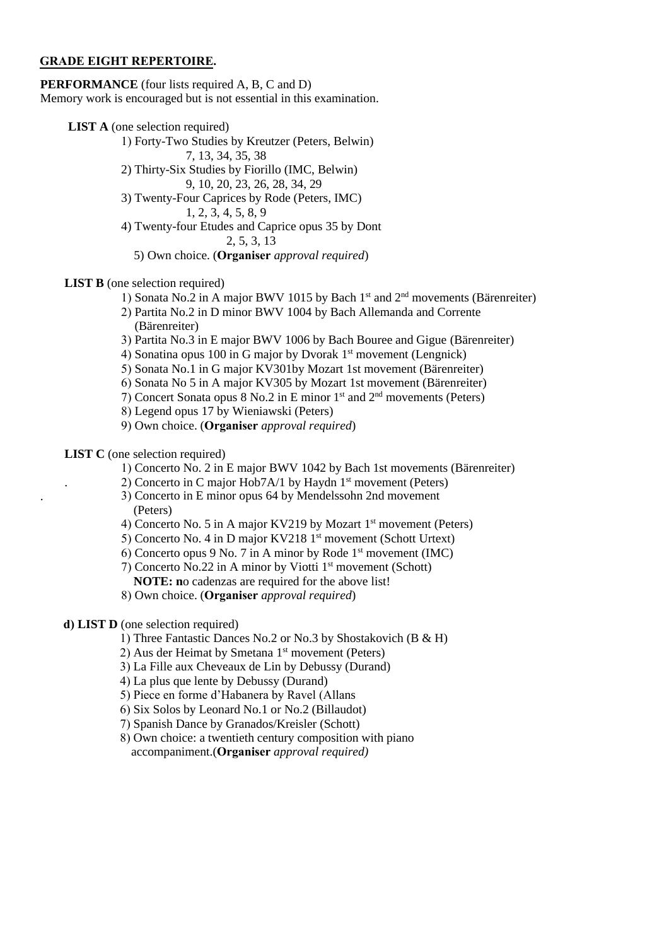#### **GRADE EIGHT REPERTOIRE.**

**PERFORMANCE** (four lists required A, B, C and D) Memory work is encouraged but is not essential in this examination.

**LIST A** (one selection required)

- 1) Forty-Two Studies by Kreutzer (Peters, Belwin)
- 7, 13, 34, 35, 38 2) Thirty-Six Studies by Fiorillo (IMC, Belwin) 9, 10, 20, 23, 26, 28, 34, 29
- 3) Twenty-Four Caprices by Rode (Peters, IMC)
	- 1, 2, 3, 4, 5, 8, 9
- 4) Twenty-four Etudes and Caprice opus 35 by Dont 2, 5, 3, 13
	- 5) Own choice. (**Organiser** *approval required*)
- **LIST B** (one selection required)
	- 1) Sonata No.2 in A major BWV 1015 by Bach 1<sup>st</sup> and 2<sup>nd</sup> movements (Bärenreiter)
	- 2) Partita No.2 in D minor BWV 1004 by Bach Allemanda and Corrente (Bärenreiter)
	- 3) Partita No.3 in E major BWV 1006 by Bach Bouree and Gigue (Bärenreiter)
	- 4) Sonatina opus 100 in G major by Dvorak 1<sup>st</sup> movement (Lengnick)
	- 5) Sonata No.1 in G major KV301by Mozart 1st movement (Bärenreiter)
	- 6) Sonata No 5 in A major KV305 by Mozart 1st movement (Bärenreiter)
	- 7) Concert Sonata opus 8 No.2 in E minor  $1<sup>st</sup>$  and  $2<sup>nd</sup>$  movements (Peters)
	- 8) Legend opus 17 by Wieniawski (Peters)
	- 9) Own choice. (**Organiser** *approval required*)

## **LIST C** (one selection required)

- 1) Concerto No. 2 in E major BWV 1042 by Bach 1st movements (Bärenreiter)
- 2) Concerto in C major Hob7A/1 by Haydn  $1<sup>st</sup>$  movement (Peters)
	- . 3) Concerto in E minor opus 64 by Mendelssohn 2nd movement (Peters)
	- 4) Concerto No. 5 in A major KV219 by Mozart 1<sup>st</sup> movement (Peters)
	- 5) Concerto No. 4 in D major KV218 1st movement (Schott Urtext)
	- 6) Concerto opus 9 No. 7 in A minor by Rode  $1<sup>st</sup>$  movement (IMC)
	- 7) Concerto No.22 in A minor by Viotti 1 st movement (Schott)
	- **NOTE: n**o cadenzas are required for the above list!
	- 8) Own choice. (**Organiser** *approval required*)

# **d) LIST D** (one selection required)

- 1) Three Fantastic Dances No.2 or No.3 by Shostakovich (B & H)
- 2) Aus der Heimat by Smetana 1<sup>st</sup> movement (Peters)
- 3) La Fille aux Cheveaux de Lin by Debussy (Durand)
- 4) La plus que lente by Debussy (Durand)
- 5) Piece en forme d'Habanera by Ravel (Allans
- 6) Six Solos by Leonard No.1 or No.2 (Billaudot)
- 7) Spanish Dance by Granados/Kreisler (Schott)
- 8) Own choice: a twentieth century composition with piano accompaniment.(**Organiser** *approval required)*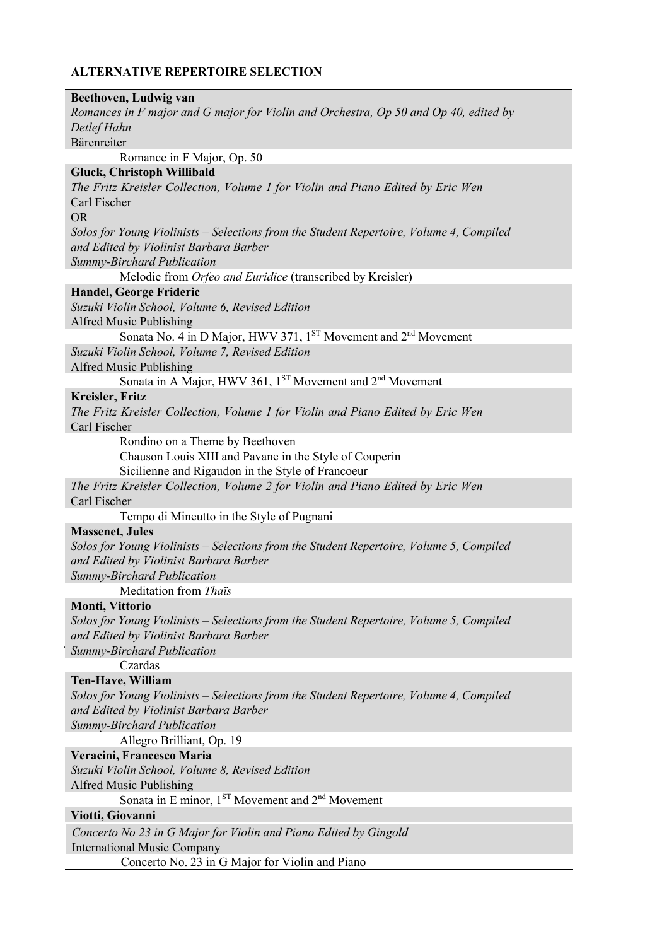| Beethoven, Ludwig van                                                                                                                |
|--------------------------------------------------------------------------------------------------------------------------------------|
| Romances in F major and G major for Violin and Orchestra, Op 50 and Op 40, edited by                                                 |
| Detlef Hahn                                                                                                                          |
| Bärenreiter                                                                                                                          |
| Romance in F Major, Op. 50                                                                                                           |
| <b>Gluck, Christoph Willibald</b>                                                                                                    |
| The Fritz Kreisler Collection, Volume 1 for Violin and Piano Edited by Eric Wen<br>Carl Fischer                                      |
| <b>OR</b>                                                                                                                            |
| Solos for Young Violinists – Selections from the Student Repertoire, Volume 4, Compiled                                              |
| and Edited by Violinist Barbara Barber                                                                                               |
| Summy-Birchard Publication                                                                                                           |
| Melodie from Orfeo and Euridice (transcribed by Kreisler)                                                                            |
| Handel, George Frideric                                                                                                              |
| Suzuki Violin School, Volume 6, Revised Edition                                                                                      |
| Alfred Music Publishing                                                                                                              |
| Sonata No. 4 in D Major, HWV 371, 1 <sup>ST</sup> Movement and 2 <sup>nd</sup> Movement                                              |
| Suzuki Violin School, Volume 7, Revised Edition                                                                                      |
| Alfred Music Publishing                                                                                                              |
| Sonata in A Major, HWV 361, $1^{ST}$ Movement and $2^{nd}$ Movement                                                                  |
| Kreisler, Fritz                                                                                                                      |
| The Fritz Kreisler Collection, Volume 1 for Violin and Piano Edited by Eric Wen                                                      |
| Carl Fischer                                                                                                                         |
| Rondino on a Theme by Beethoven                                                                                                      |
| Chauson Louis XIII and Pavane in the Style of Couperin                                                                               |
| Sicilienne and Rigaudon in the Style of Francoeur<br>The Fritz Kreisler Collection, Volume 2 for Violin and Piano Edited by Eric Wen |
| Carl Fischer                                                                                                                         |
| Tempo di Mineutto in the Style of Pugnani                                                                                            |
| <b>Massenet, Jules</b>                                                                                                               |
| Solos for Young Violinists – Selections from the Student Repertoire, Volume 5, Compiled                                              |
| and Edited by Violinist Barbara Barber                                                                                               |
| Summy-Birchard Publication                                                                                                           |
| Meditation from Thaïs                                                                                                                |
| <b>Monti, Vittorio</b>                                                                                                               |
| Solos for Young Violinists – Selections from the Student Repertoire, Volume 5, Compiled                                              |
| and Edited by Violinist Barbara Barber                                                                                               |
| Summy-Birchard Publication                                                                                                           |
| Czardas                                                                                                                              |
| Ten-Have, William                                                                                                                    |
| Solos for Young Violinists – Selections from the Student Repertoire, Volume 4, Compiled                                              |
| and Edited by Violinist Barbara Barber                                                                                               |
| Summy-Birchard Publication                                                                                                           |
| Allegro Brilliant, Op. 19                                                                                                            |
| Veracini, Francesco Maria<br>Suzuki Violin School, Volume 8, Revised Edition                                                         |
| Alfred Music Publishing                                                                                                              |
| Sonata in E minor, 1 <sup>ST</sup> Movement and 2 <sup>nd</sup> Movement                                                             |
| Viotti, Giovanni                                                                                                                     |
| Concerto No 23 in G Major for Violin and Piano Edited by Gingold                                                                     |
| <b>International Music Company</b>                                                                                                   |
| Concerto No. 23 in G Major for Violin and Piano                                                                                      |
|                                                                                                                                      |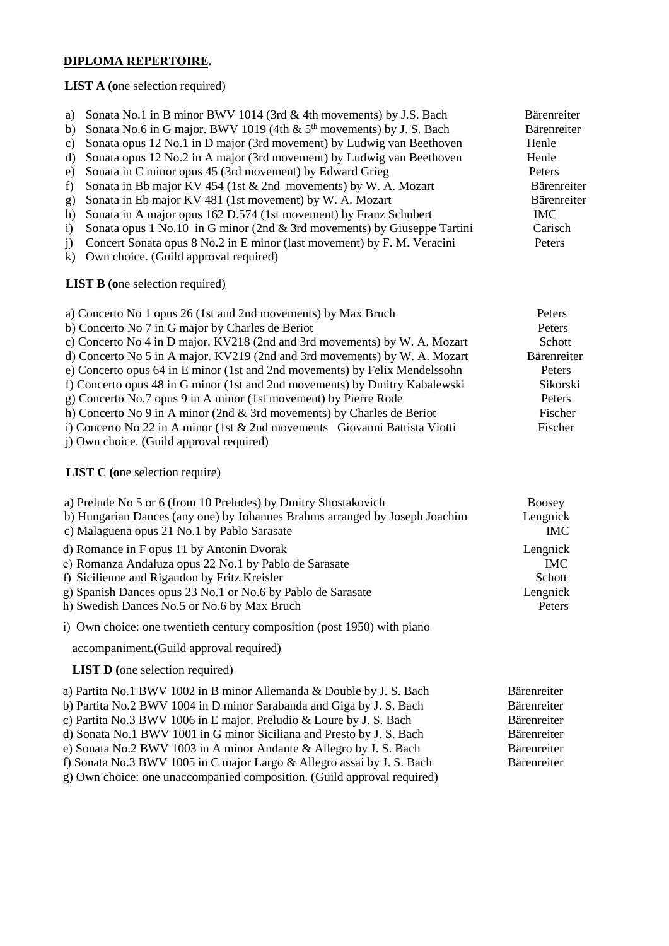### **DIPLOMA REPERTOIRE.**

**LIST A (o**ne selection required)

a) Sonata No.1 in B minor BWV 1014 (3rd & 4th movements) by J.S. Bach Bärenreiter<br>b) Sonata No.6 in G maior. BWV 1019 (4th & 5<sup>th</sup> movements) by J. S. Bach Bärenreiter b) Sonata No.6 in G major. BWV 1019 (4th  $\&$  5<sup>th</sup> movements) by J. S. Bach Bärenr<br>c) Sonata opus 12 No.1 in D major (3rd movement) by Ludwig van Beethoven Henle c) Sonata opus  $12$  No.1 in D major (3rd movement) by Ludwig van Beethoven d) Sonata opus 12 No.2 in A major (3rd movement) by Ludwig van Beethoven Henle e) Sonata in C minor opus 45 (3rd movement) by Edward Grieg Peters f) Sonata in Bb major KV 454 (1st  $\&$  2nd movements) by W. A. Mozart Bärenreiter g) Sonata in Eb major KV 481 (1st movement) by W. A. Mozart Bärenreiter<br>
h) Sonata in A major opus 162 D.574 (1st movement) by Franz Schubert MC h) Sonata in A major opus 162 D.574 (1st movement) by Franz Schubert IMC<br>i) Sonata opus 1 No.10 in G minor (2nd & 3rd movements) by Giuseppe Tartini Carisch i) Sonata opus 1 No.10 in G minor (2nd  $\&$  3rd movements) by Giuseppe Tartini j) Concert Sonata opus 8 No.2 in E minor (last movement) by F. M. Veracini Peters k) Own choice. (Guild approval required) **LIST B (o**ne selection required) a) Concerto No 1 opus 26 (1st and 2nd movements) by Max Bruch Peters<br>b) Concerto No 7 in G major by Charles de Beriot .<br>Concert by Charles de Ber

| b) Concerto No 7 in G major by Charles de Beriot                              | Peters      |
|-------------------------------------------------------------------------------|-------------|
| c) Concerto No 4 in D major. KV218 (2nd and 3rd movements) by W. A. Mozart    | Schott      |
| d) Concerto No 5 in A major. KV219 (2nd and 3rd movements) by W. A. Mozart    | Bärenreiter |
| e) Concerto opus 64 in E minor (1st and 2nd movements) by Felix Mendelssohn   | Peters      |
| f) Concerto opus 48 in G minor (1st and 2nd movements) by Dmitry Kabalewski   | Sikorski    |
| g) Concerto No.7 opus 9 in A minor (1st movement) by Pierre Rode              | Peters      |
| h) Concerto No 9 in A minor (2nd & 3rd movements) by Charles de Beriot        | Fischer     |
| i) Concerto No 22 in A minor (1st $\&$ 2nd movements Giovanni Battista Viotti | Fischer     |
|                                                                               |             |

j) Own choice. (Guild approval required)

**LIST C (o**ne selection require)

| a) Prelude No 5 or 6 (from 10 Preludes) by Dmitry Shostakovich              | <b>Boosey</b> |
|-----------------------------------------------------------------------------|---------------|
| b) Hungarian Dances (any one) by Johannes Brahms arranged by Joseph Joachim | Lengnick      |
| c) Malaguena opus 21 No.1 by Pablo Sarasate                                 | IMC           |
| d) Romance in F opus 11 by Antonin Dvorak                                   | Lengnick      |
| e) Romanza Andaluza opus 22 No.1 by Pablo de Sarasate                       | IMC.          |
| f) Sicilienne and Rigaudon by Fritz Kreisler                                | Schott        |
| g) Spanish Dances opus 23 No.1 or No.6 by Pablo de Sarasate                 | Lengnick      |
| h) Swedish Dances No.5 or No.6 by Max Bruch                                 | Peters        |
| i) Own choice: one twentieth century composition (post 1950) with piano     |               |

accompaniment**.**(Guild approval required)

**LIST D** (one selection required)

| a) Partita No.1 BWV 1002 in B minor Allemanda & Double by J. S. Bach    | Bärenreiter |
|-------------------------------------------------------------------------|-------------|
| b) Partita No.2 BWV 1004 in D minor Sarabanda and Giga by J. S. Bach    | Bärenreiter |
| c) Partita No.3 BWV 1006 in E major. Preludio & Loure by J. S. Bach     | Bärenreiter |
| d) Sonata No.1 BWV 1001 in G minor Siciliana and Presto by J. S. Bach   | Bärenreiter |
| e) Sonata No.2 BWV 1003 in A minor Andante & Allegro by J. S. Bach      | Bärenreiter |
| f) Sonata No.3 BWV 1005 in C major Largo & Allegro assai by J. S. Bach  | Bärenreiter |
| g) Own choice: one unaccompanied composition. (Guild approval required) |             |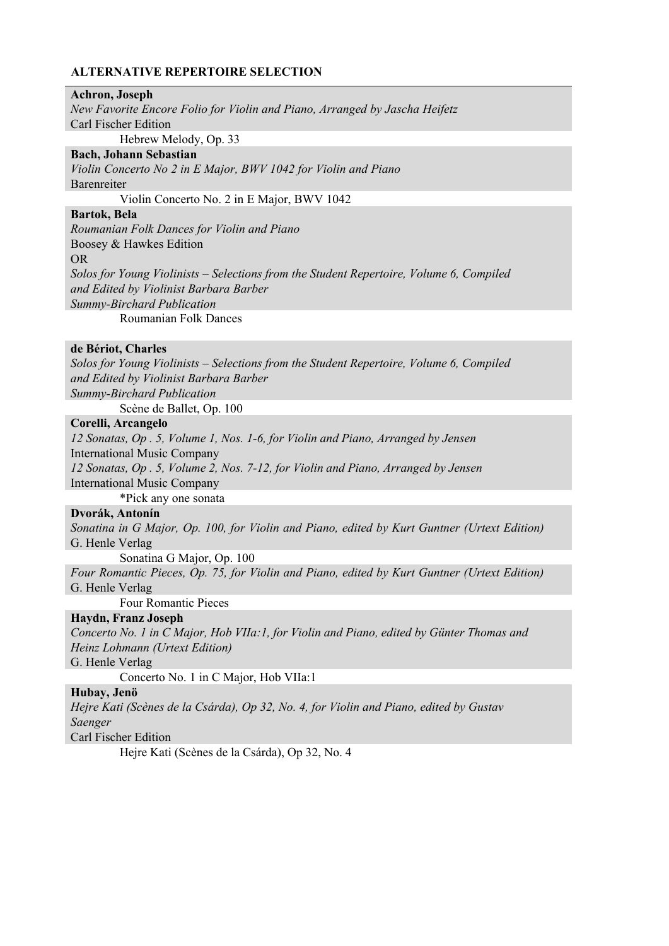#### **Achron, Joseph**

*New Favorite Encore Folio for Violin and Piano, Arranged by Jascha Heifetz*  Carl Fischer Edition Hebrew Melody, Op. 33

**Bach, Johann Sebastian** 

*Violin Concerto No 2 in E Major, BWV 1042 for Violin and Piano*  Barenreiter

Violin Concerto No. 2 in E Major, BWV 1042

## **Bartok, Bela**

*Roumanian Folk Dances for Violin and Piano*  Boosey & Hawkes Edition OR *Solos for Young Violinists – Selections from the Student Repertoire, Volume 6, Compiled and Edited by Violinist Barbara Barber Summy-Birchard Publication* Roumanian Folk Dances

#### **de Bériot, Charles**

*Solos for Young Violinists – Selections from the Student Repertoire, Volume 6, Compiled and Edited by Violinist Barbara Barber Summy-Birchard Publication*

Scène de Ballet, Op. 100

### **Corelli, Arcangelo**

*12 Sonatas, Op . 5, Volume 1, Nos. 1-6, for Violin and Piano, Arranged by Jensen* International Music Company *12 Sonatas, Op . 5, Volume 2, Nos. 7-12, for Violin and Piano, Arranged by Jensen* International Music Company \*Pick any one sonata

#### **Dvorák, Antonín**

*Sonatina in G Major, Op. 100, for Violin and Piano, edited by Kurt Guntner (Urtext Edition)*  G. Henle Verlag

Sonatina G Major, Op. 100

*Four Romantic Pieces, Op. 75, for Violin and Piano, edited by Kurt Guntner (Urtext Edition)*  G. Henle Verlag

Four Romantic Pieces

### **Haydn, Franz Joseph**

*Concerto No. 1 in C Major, Hob VIIa:1, for Violin and Piano, edited by Günter Thomas and Heinz Lohmann (Urtext Edition)* 

G. Henle Verlag

Concerto No. 1 in C Major, Hob VIIa:1

#### **Hubay, Jenö**

*Hejre Kati (Scènes de la Csárda), Op 32, No. 4, for Violin and Piano, edited by Gustav Saenger* 

Carl Fischer Edition

Hejre Kati (Scènes de la Csárda), Op 32, No. 4